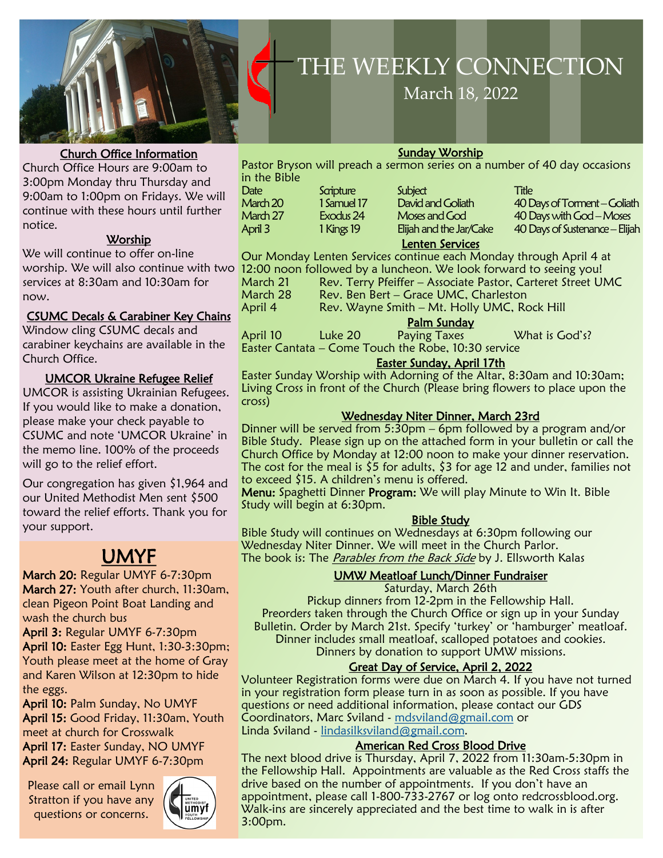

#### Church Office Information

Church Office Hours are 9:00am to 3:00pm Monday thru Thursday and 9:00am to 1:00pm on Fridays. We will continue with these hours until further notice.

#### **Worship**

We will continue to offer on-line services at 8:30am and 10:30am for now.

#### CSUMC Decals & Carabiner Key Chains

Window cling CSUMC decals and carabiner keychains are available in the Church Office.

#### UMCOR Ukraine Refugee Relief

UMCOR is assisting Ukrainian Refugees. If you would like to make a donation, please make your check payable to CSUMC and note 'UMCOR Ukraine' in the memo line. 100% of the proceeds will go to the relief effort.

Our congregation has given \$1,964 and our United Methodist Men sent \$500 toward the relief efforts. Thank you for your support.

# UMYF

March 20: Regular UMYF 6-7:30pm March 27: Youth after church, 11:30am, clean Pigeon Point Boat Landing and wash the church bus

April 3: Regular UMYF 6-7:30pm April 10: Easter Egg Hunt, 1:30-3:30pm; Youth please meet at the home of Gray and Karen Wilson at 12:30pm to hide the eggs.

April 10: Palm Sunday, No UMYF April 15: Good Friday, 11:30am, Youth meet at church for Crosswalk April 17: Easter Sunday, NO UMYF April 24: Regular UMYF 6-7:30pm

Please call or email Lynn Stratton if you have any questions or concerns.



# **THE WEEKLY**  THE WEEKLY CONNECTION

**CONVERTION**<br> **CONTREPTION** 

#### **Sunday Worship**

Pastor Bryson will preach a sermon series on a number of 40 day occasions in the Bible

Date Scripture Subject Title

March 20 1 Samuel 17 David and Goliath 40 Days of Torment –Goliath 40 Days with God – Moses April 3 1 Kings 19 Elijah and the Jar/Cake 40 Days of Sustenance – Elijah

#### Lenten Services

Our Monday Lenten Services continue each Monday through April 4 at worship. We will also continue with two 12:00 noon followed by a luncheon. We look forward to seeing you! March 21 Rev. Terry Pfeiffer – Associate Pastor, Carteret Street UMC March 28 Rev. Ben Bert – Grace UMC, Charleston

April 4 Rev. Wayne Smith – Mt. Holly UMC, Rock Hill

#### Palm Sunday

April 10 Luke 20 Paying Taxes What is God's? Easter Cantata – Come Touch the Robe, 10:30 service

#### Easter Sunday, April 17th

Easter Sunday Worship with Adorning of the Altar, 8:30am and 10:30am; Living Cross in front of the Church (Please bring flowers to place upon the cross)

#### Wednesday Niter Dinner, March 23rd

Dinner will be served from 5:30pm – 6pm followed by a program and/or Bible Study. Please sign up on the attached form in your bulletin or call the Church Office by Monday at 12:00 noon to make your dinner reservation. The cost for the meal is  $55$  for adults,  $53$  for age 12 and under, families not to exceed \$15. A children's menu is offered.

Menu: Spaghetti Dinner Program: We will play Minute to Win It. Bible Study will begin at 6:30pm.

#### Bible Study

Bible Study will continues on Wednesdays at 6:30pm following our Wednesday Niter Dinner. We will meet in the Church Parlor. The book is: The *Parables from the Back Side* by J. Ellsworth Kalas

#### UMW Meatloaf Lunch/Dinner Fundraiser

Saturday, March 26th

Pickup dinners from 12-2pm in the Fellowship Hall. Preorders taken through the Church Office or sign up in your Sunday Bulletin. Order by March 21st. Specify 'turkey' or 'hamburger' meatloaf. Dinner includes small meatloaf, scalloped potatoes and cookies. Dinners by donation to support UMW missions.

## Great Day of Service, April 2, 2022

Volunteer Registration forms were due on March 4. If you have not turned in your registration form please turn in as soon as possible. If you have questions or need additional information, please contact our GDS Coordinators, Marc Sviland - [mdsviland@gmail.com](mailto:mdsviland@gmail.com) or Linda Sviland - [lindasilksviland@gmail.com.](mailto:lindasilksviland@gmail.com)

#### American Red Cross Blood Drive

The next blood drive is Thursday, April 7, 2022 from 11:30am-5:30pm in the Fellowship Hall. Appointments are valuable as the Red Cross staffs the drive based on the number of appointments. If you don't have an appointment, please call 1-800-733-2767 or log onto redcrossblood.org. Walk-ins are sincerely appreciated and the best time to walk in is after 3:00pm.